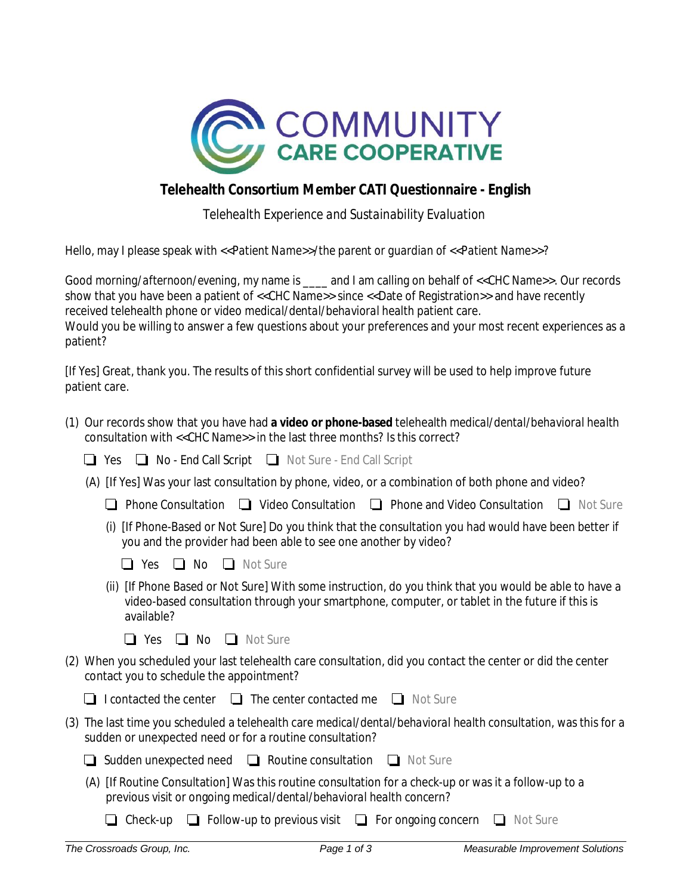

## **Telehealth Consortium Member CATI Questionnaire - English**

*Telehealth Experience and Sustainability Evaluation* 

Hello, may I please speak with *<<Patient Name>>/the parent or guardian of <<Patient Name>>*?

Good *morning/afternoon/evening*, my name is \_\_\_\_ and I am calling on behalf of <<CHC Name>>. Our records show that you have been a patient of <<CHC Name>> since <<Date of Registration>> and have recently received telehealth phone or video *medical/dental/behavioral health* patient care. Would you be willing to answer a few questions about your preferences and your most recent experiences as a patient?

[If Yes] Great, thank you. The results of this short confidential survey will be used to help improve future patient care.

| (1) Our records show that you have had a video or phone-based telehealth medical/dental/behavioral health<br>consultation with << CHC Name>> in the last three months? Is this correct?                                |
|------------------------------------------------------------------------------------------------------------------------------------------------------------------------------------------------------------------------|
| No - End Call Script In Not Sure - End Call Script<br>Yes                                                                                                                                                              |
| (A) [If Yes] Was your last consultation by phone, video, or a combination of both phone and video?                                                                                                                     |
| <b>Phone Consultation</b> $\Box$ Video Consultation $\Box$ Phone and Video Consultation $\Box$ Not Sure                                                                                                                |
| [If Phone-Based or Not Sure] Do you think that the consultation you had would have been better if<br>you and the provider had been able to see one another by video?                                                   |
| $\Box$ No<br>$\Box$ Not Sure<br>$\Box$ Yes                                                                                                                                                                             |
| (ii) [If Phone Based or Not Sure] With some instruction, do you think that you would be able to have a<br>video-based consultation through your smartphone, computer, or tablet in the future if this is<br>available? |
| $\Box$ No $\Box$ Not Sure<br>$\Box$ Yes                                                                                                                                                                                |
| (2) When you scheduled your last telehealth care consultation, did you contact the center or did the center<br>contact you to schedule the appointment?                                                                |
| $\Box$ I contacted the center $\Box$ The center contacted me $\Box$ Not Sure                                                                                                                                           |
| (3) The last time you scheduled a telehealth care medical/dental/behavioral health consultation, was this for a<br>sudden or unexpected need or for a routine consultation?                                            |
| $\Box$ Sudden unexpected need $\Box$ Routine consultation $\Box$ Not Sure                                                                                                                                              |
| (A) [If Routine Consultation] Was this routine consultation for a check-up or was it a follow-up to a<br>previous visit or ongoing medical/dental/behavioral health concern?                                           |
| $\Box$ Follow-up to previous visit $\Box$ For ongoing concern<br>Not Sure<br>Check-up                                                                                                                                  |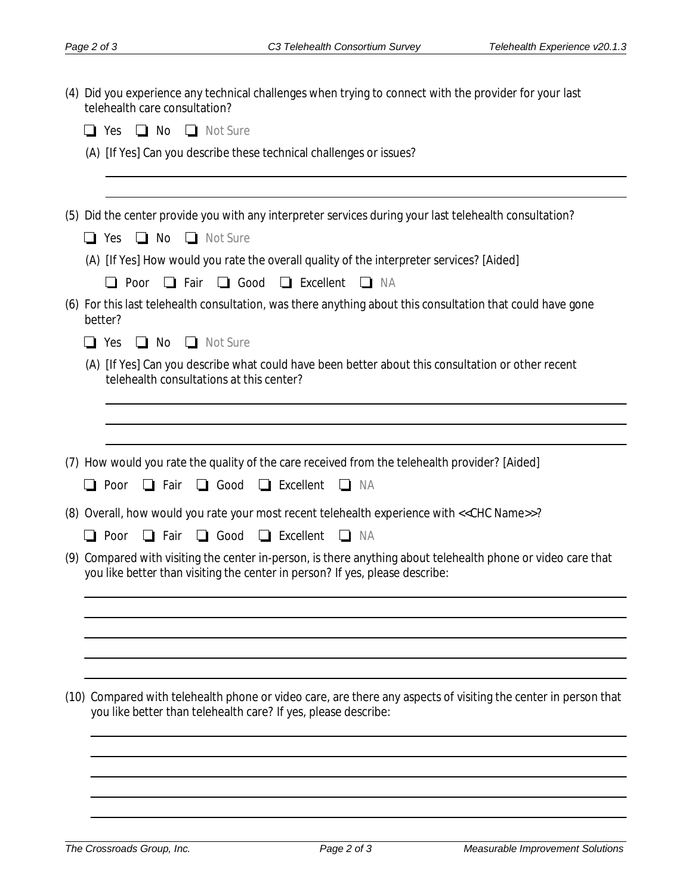|  | (4) Did you experience any technical challenges when trying to connect with the provider for your last<br>telehealth care consultation? |                                                                                                                                                                                              |  |  |
|--|-----------------------------------------------------------------------------------------------------------------------------------------|----------------------------------------------------------------------------------------------------------------------------------------------------------------------------------------------|--|--|
|  |                                                                                                                                         | No <b>No</b> Not Sure<br>$\Box$ Yes                                                                                                                                                          |  |  |
|  |                                                                                                                                         | (A) [If Yes] Can you describe these technical challenges or issues?                                                                                                                          |  |  |
|  |                                                                                                                                         | (5) Did the center provide you with any interpreter services during your last telehealth consultation?                                                                                       |  |  |
|  |                                                                                                                                         | $\Box$ No $\Box$ Not Sure<br>$\Box$ Yes                                                                                                                                                      |  |  |
|  |                                                                                                                                         | (A) [If Yes] How would you rate the overall quality of the interpreter services? [Aided]                                                                                                     |  |  |
|  |                                                                                                                                         | $\Box$ Good<br>$\Box$ Excellent<br>$\Box$ Poor<br>$\Box$ Fair<br>$\Box$ NA                                                                                                                   |  |  |
|  | better?                                                                                                                                 | (6) For this last telehealth consultation, was there anything about this consultation that could have gone                                                                                   |  |  |
|  | $\Box$ Yes                                                                                                                              | $\Box$ No $\Box$ Not Sure                                                                                                                                                                    |  |  |
|  |                                                                                                                                         | (A) [If Yes] Can you describe what could have been better about this consultation or other recent<br>telehealth consultations at this center?                                                |  |  |
|  |                                                                                                                                         |                                                                                                                                                                                              |  |  |
|  |                                                                                                                                         |                                                                                                                                                                                              |  |  |
|  |                                                                                                                                         | (7) How would you rate the quality of the care received from the telehealth provider? [Aided]<br>$\Box$ Excellent<br>$\Box$ Fair<br>$\Box$ Good<br>$\Box$ Poor<br><b>NA</b><br>$\Box$        |  |  |
|  |                                                                                                                                         | (8) Overall, how would you rate your most recent telehealth experience with << CHC Name>>?<br>$\Box$ Good<br>$\Box$ Excellent<br>$\Box$ Poor<br>$\Box$ Fair<br>$\Box$<br>NA                  |  |  |
|  |                                                                                                                                         | (9) Compared with visiting the center in-person, is there anything about telehealth phone or video care that<br>you like better than visiting the center in person? If yes, please describe: |  |  |
|  |                                                                                                                                         |                                                                                                                                                                                              |  |  |
|  |                                                                                                                                         | (10) Compared with telehealth phone or video care, are there any aspects of visiting the center in person that<br>you like better than telehealth care? If yes, please describe:             |  |  |
|  |                                                                                                                                         |                                                                                                                                                                                              |  |  |
|  |                                                                                                                                         |                                                                                                                                                                                              |  |  |